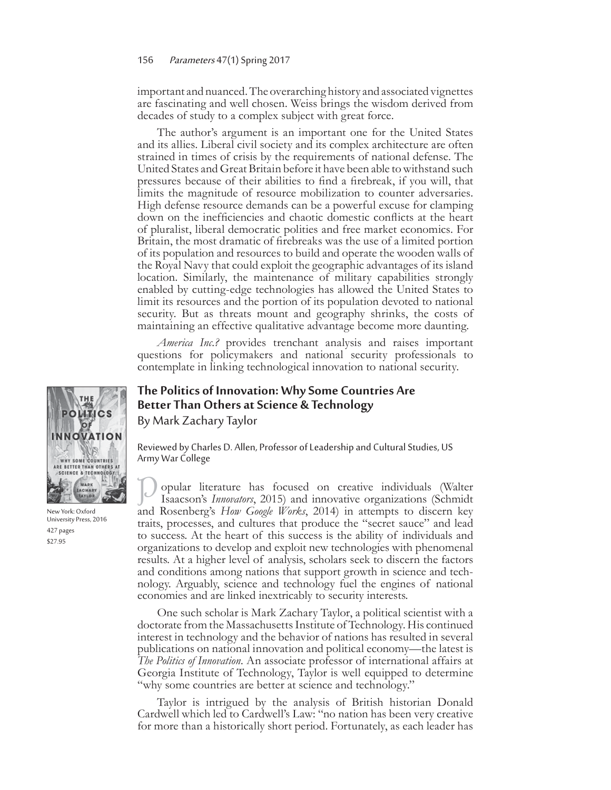## 156 Parameters 47(1) Spring 2017

important and nuanced. The overarching history and associated vignettes are fascinating and well chosen. Weiss brings the wisdom derived from decades of study to a complex subject with great force.

The author's argument is an important one for the United States and its allies. Liberal civil society and its complex architecture are often strained in times of crisis by the requirements of national defense. The United States and Great Britain before it have been able to withstand such pressures because of their abilities to find a firebreak, if you will, that limits the magnitude of resource mobilization to counter adversaries. High defense resource demands can be a powerful excuse for clamping down on the inefficiencies and chaotic domestic conflicts at the heart of pluralist, liberal democratic polities and free market economics. For Britain, the most dramatic of firebreaks was the use of a limited portion of its population and resources to build and operate the wooden walls of the Royal Navy that could exploit the geographic advantages of its island location. Similarly, the maintenance of military capabilities strongly enabled by cutting-edge technologies has allowed the United States to limit its resources and the portion of its population devoted to national security. But as threats mount and geography shrinks, the costs of maintaining an effective qualitative advantage become more daunting.

*America Inc.?* provides trenchant analysis and raises important questions for policymakers and national security professionals to contemplate in linking technological innovation to national security.

## **The Politics of Innovation: Why Some Countries Are Better Than Others at Science & Technology** By Mark Zachary Taylor

Reviewed by Charles D. Allen, Professor of Leadership and Cultural Studies, US Army War College

opular literature has focused on creative individuals (Walter Isaacson's *Innovators*, 2015) and innovative organizations (Schmidt and Rosenberg's *How Google Works*, 2014) in attempts to discern key traits, processes, and cultures that produce the "secret sauce" and lead to success. At the heart of this success is the ability of individuals and organizations to develop and exploit new technologies with phenomenal results. At a higher level of analysis, scholars seek to discern the factors and conditions among nations that support growth in science and technology. Arguably, science and technology fuel the engines of national economies and are linked inextricably to security interests.

One such scholar is Mark Zachary Taylor, a political scientist with a doctorate from the Massachusetts Institute of Technology. His continued interest in technology and the behavior of nations has resulted in several publications on national innovation and political economy—the latest is *The Politics of Innovation*. An associate professor of international affairs at Georgia Institute of Technology, Taylor is well equipped to determine "why some countries are better at science and technology."

Taylor is intrigued by the analysis of British historian Donald Cardwell which led to Cardwell's Law: "no nation has been very creative for more than a historically short period. Fortunately, as each leader has



New York: Oxford University Press, 2016 427 pages \$27.95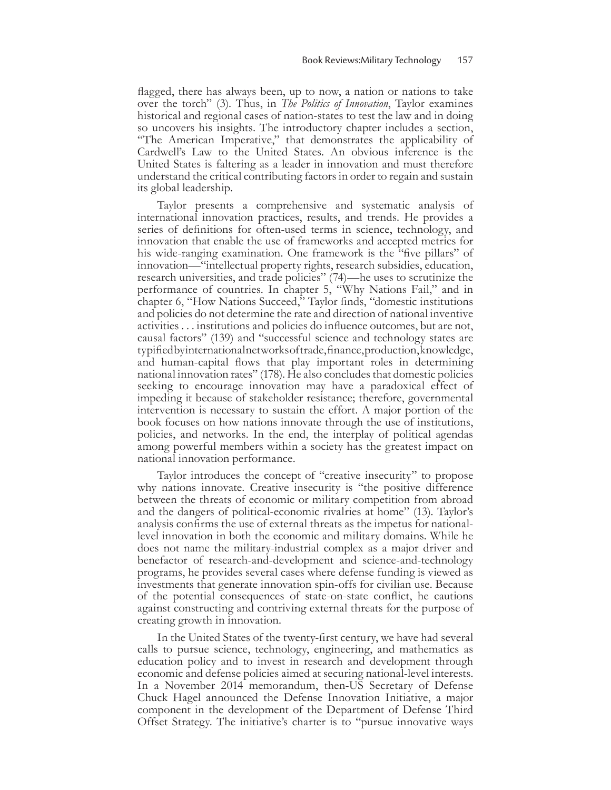flagged, there has always been, up to now, a nation or nations to take over the torch" (3). Thus, in *The Politics of Innovation*, Taylor examines historical and regional cases of nation-states to test the law and in doing so uncovers his insights. The introductory chapter includes a section, "The American Imperative," that demonstrates the applicability of Cardwell's Law to the United States. An obvious inference is the United States is faltering as a leader in innovation and must therefore understand the critical contributing factors in order to regain and sustain its global leadership.

Taylor presents a comprehensive and systematic analysis of international innovation practices, results, and trends. He provides a series of definitions for often-used terms in science, technology, and innovation that enable the use of frameworks and accepted metrics for his wide-ranging examination. One framework is the "five pillars" of innovation—"intellectual property rights, research subsidies, education, research universities, and trade policies" (74)—he uses to scrutinize the performance of countries. In chapter 5, "Why Nations Fail," and in chapter 6, "How Nations Succeed," Taylor finds, "domestic institutions and policies do not determine the rate and direction of national inventive activities . . . institutions and policies do influence outcomes, but are not, causal factors" (139) and "successful science and technology states are typified by international networks of trade, finance, production, knowledge, and human-capital flows that play important roles in determining national innovation rates" (178). He also concludes that domestic policies seeking to encourage innovation may have a paradoxical effect of impeding it because of stakeholder resistance; therefore, governmental intervention is necessary to sustain the effort. A major portion of the book focuses on how nations innovate through the use of institutions, policies, and networks. In the end, the interplay of political agendas among powerful members within a society has the greatest impact on national innovation performance.

Taylor introduces the concept of "creative insecurity" to propose why nations innovate. Creative insecurity is "the positive difference between the threats of economic or military competition from abroad and the dangers of political-economic rivalries at home" (13). Taylor's analysis confirms the use of external threats as the impetus for nationallevel innovation in both the economic and military domains. While he does not name the military-industrial complex as a major driver and benefactor of research-and-development and science-and-technology programs, he provides several cases where defense funding is viewed as investments that generate innovation spin-offs for civilian use. Because of the potential consequences of state-on-state conflict, he cautions against constructing and contriving external threats for the purpose of creating growth in innovation.

In the United States of the twenty-first century, we have had several calls to pursue science, technology, engineering, and mathematics as education policy and to invest in research and development through economic and defense policies aimed at securing national-level interests. In a November 2014 memorandum, then-US Secretary of Defense Chuck Hagel announced the Defense Innovation Initiative, a major component in the development of the Department of Defense Third Offset Strategy. The initiative's charter is to "pursue innovative ways